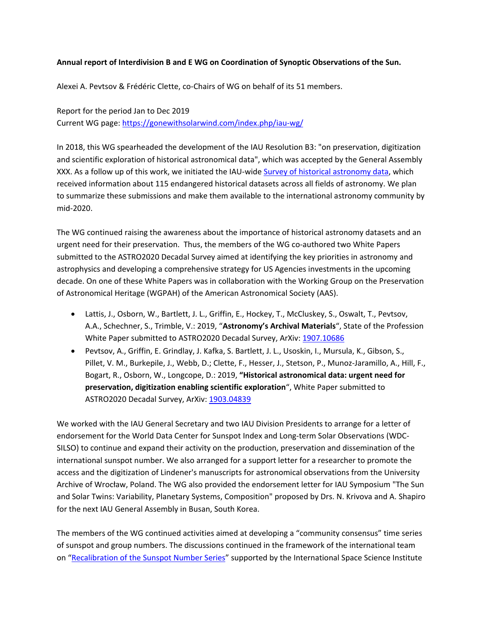## **Annual report of Interdivision B and E WG on Coordination of Synoptic Observations of the Sun.**

Alexei A. Pevtsov & Frédéric Clette, co-Chairs of WG on behalf of its 51 members.

Report for the period Jan to Dec 2019 Current WG page:<https://gonewithsolarwind.com/index.php/iau-wg/>

In 2018, this WG spearheaded the development of the IAU Resolution B3: "on preservation, digitization and scientific exploration of historical astronomical data", which was accepted by the General Assembly XXX. As a follow up of this work, we initiated the IAU-wide [Survey of historical astronomy data,](https://goo.gl/forms/lphoIfquXRtvSfrm2) which received information about 115 endangered historical datasets across all fields of astronomy. We plan to summarize these submissions and make them available to the international astronomy community by mid-2020.

The WG continued raising the awareness about the importance of historical astronomy datasets and an urgent need for their preservation. Thus, the members of the WG co-authored two White Papers submitted to the ASTRO2020 Decadal Survey aimed at identifying the key priorities in astronomy and astrophysics and developing a comprehensive strategy for US Agencies investments in the upcoming decade. On one of these White Papers was in collaboration with the Working Group on the Preservation of Astronomical Heritage (WGPAH) of the American Astronomical Society (AAS).

- Lattis, J., Osborn, W., Bartlett, J. L., Griffin, E., Hockey, T., McCluskey, S., Oswalt, T., Pevtsov, A.A., Schechner, S., Trimble, V.: 2019, "**Astronomy's Archival Materials**", State of the Profession White Paper submitted to ASTRO2020 Decadal Survey, ArXiv[: 1907.10686](https://arxiv.org/abs/1907.10686)
- Pevtsov, A., Griffin, E. Grindlay, J. Kafka, S. Bartlett, J. L., Usoskin, I., Mursula, K., Gibson, S., Pillet, V. M., Burkepile, J., Webb, D.; Clette, F., Hesser, J., Stetson, P., Munoz-Jaramillo, A., Hill, F., Bogart, R., Osborn, W., Longcope, D.: 2019, **"Historical astronomical data: urgent need for preservation, digitization enabling scientific exploration**", White Paper submitted to ASTRO2020 Decadal Survey, ArXiv: [1903.04839](https://arxiv.org/abs/1903.04839)

We worked with the IAU General Secretary and two IAU Division Presidents to arrange for a letter of endorsement for the World Data Center for Sunspot Index and Long-term Solar Observations (WDC-SILSO) to continue and expand their activity on the production, preservation and dissemination of the international sunspot number. We also arranged for a support letter for a researcher to promote the access and the digitization of Lindener's manuscripts for astronomical observations from the University Archive of Wrocław, Poland. The WG also provided the endorsement letter for IAU Symposium "The Sun and Solar Twins: Variability, Planetary Systems, Composition" proposed by Drs. N. Krivova and A. Shapiro for the next IAU General Assembly in Busan, South Korea.

The members of the WG continued activities aimed at developing a "community consensus" time series of sunspot and group numbers. The discussions continued in the framework of the international team on ["Recalibration of the Sunspot Number Series"](https://www.issibern.ch/teams/sunspotnoser/) supported by the International Space Science Institute